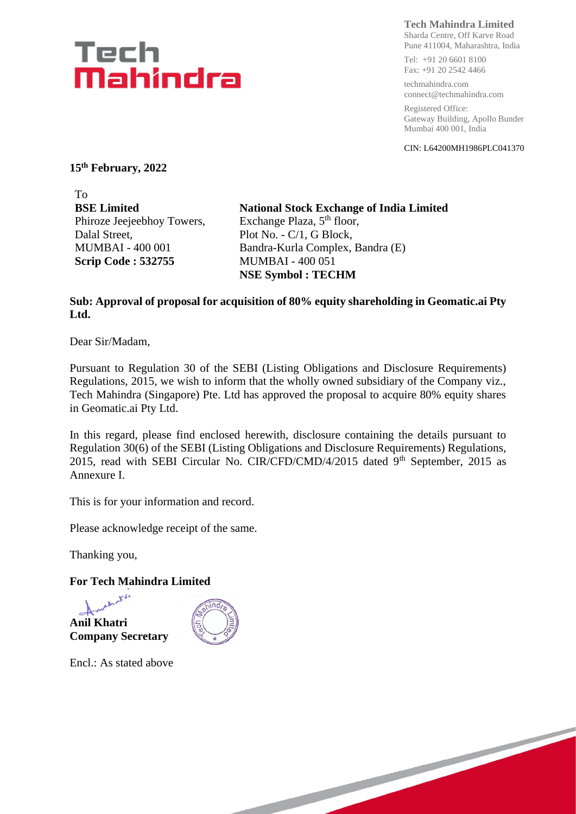# Tech Mahindra

**Tech Mahindra Limited**

Sharda Centre, Off Karve Road Pune 411004, Maharashtra, India

Tel: +91 20 6601 8100 Fax: +91 20 2542 4466

techmahindra.com connect@techmahindra.com

Registered Office: Gateway Building, Apollo Bunder Mumbai 400 001, India

CIN: L64200MH1986PLC041370

**15 th February, 2022**

To **BSE Limited** Phiroze Jeejeebhoy Towers, Dalal Street, MUMBAI - 400 001 **Scrip Code : 532755**

**National Stock Exchange of India Limited** Exchange Plaza, 5<sup>th</sup> floor, Plot No. - C/1, G Block, Bandra-Kurla Complex, Bandra (E) MUMBAI - 400 051 **NSE Symbol : TECHM**

#### **Sub: Approval of proposal for acquisition of 80% equity shareholding in Geomatic.ai Pty Ltd.**

Dear Sir/Madam,

Pursuant to Regulation 30 of the SEBI (Listing Obligations and Disclosure Requirements) Regulations, 2015, we wish to inform that the wholly owned subsidiary of the Company viz., Tech Mahindra (Singapore) Pte. Ltd has approved the proposal to acquire 80% equity shares in Geomatic.ai Pty Ltd.

In this regard, please find enclosed herewith, disclosure containing the details pursuant to Regulation 30(6) of the SEBI (Listing Obligations and Disclosure Requirements) Regulations, 2015, read with SEBI Circular No. CIR/CFD/CMD/4/2015 dated 9<sup>th</sup> September, 2015 as Annexure I.

This is for your information and record.

Please acknowledge receipt of the same.

Thanking you,

#### **For Tech Mahindra Limited**





Encl.: As stated above

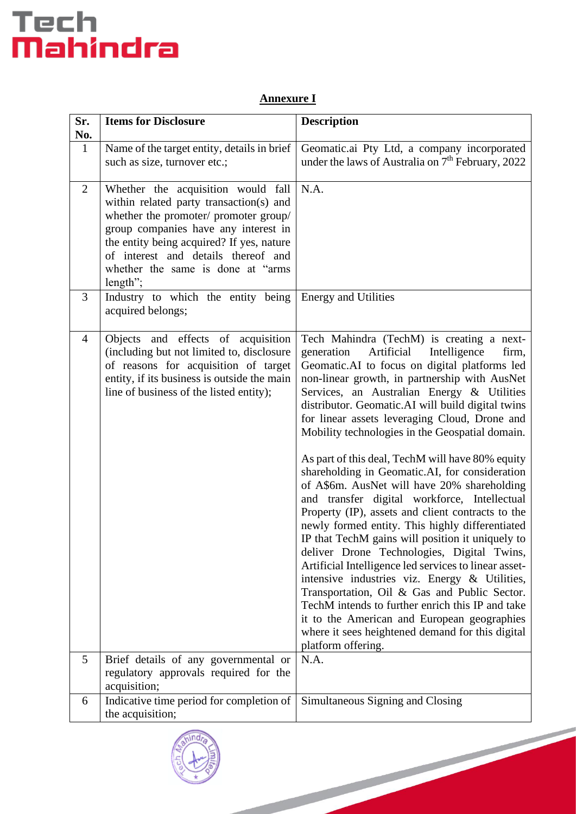# Tech<br>**Mahindra**

## **Annexure I**

| Sr.<br>No.     | <b>Items for Disclosure</b>                                                                                                                                                                                                                                                                          | <b>Description</b>                                                                                                                                                                                                                                                                                                                                                                                                                                                                                                                                                                                                                                                                                                                                                                                                                                                                                                                                                                                                                                                                                                                                            |
|----------------|------------------------------------------------------------------------------------------------------------------------------------------------------------------------------------------------------------------------------------------------------------------------------------------------------|---------------------------------------------------------------------------------------------------------------------------------------------------------------------------------------------------------------------------------------------------------------------------------------------------------------------------------------------------------------------------------------------------------------------------------------------------------------------------------------------------------------------------------------------------------------------------------------------------------------------------------------------------------------------------------------------------------------------------------------------------------------------------------------------------------------------------------------------------------------------------------------------------------------------------------------------------------------------------------------------------------------------------------------------------------------------------------------------------------------------------------------------------------------|
| $\mathbf{1}$   | Name of the target entity, details in brief<br>such as size, turnover etc.;                                                                                                                                                                                                                          | Geomatic.ai Pty Ltd, a company incorporated<br>under the laws of Australia on 7 <sup>th</sup> February, 2022                                                                                                                                                                                                                                                                                                                                                                                                                                                                                                                                                                                                                                                                                                                                                                                                                                                                                                                                                                                                                                                  |
| $\overline{2}$ | Whether the acquisition would fall<br>within related party transaction(s) and<br>whether the promoter/ promoter group/<br>group companies have any interest in<br>the entity being acquired? If yes, nature<br>of interest and details thereof and<br>whether the same is done at "arms"<br>length"; | N.A.                                                                                                                                                                                                                                                                                                                                                                                                                                                                                                                                                                                                                                                                                                                                                                                                                                                                                                                                                                                                                                                                                                                                                          |
| 3              | Industry to which the entity being<br>acquired belongs;                                                                                                                                                                                                                                              | <b>Energy and Utilities</b>                                                                                                                                                                                                                                                                                                                                                                                                                                                                                                                                                                                                                                                                                                                                                                                                                                                                                                                                                                                                                                                                                                                                   |
| $\overline{4}$ | Objects and effects of acquisition<br>(including but not limited to, disclosure<br>of reasons for acquisition of target<br>entity, if its business is outside the main<br>line of business of the listed entity);                                                                                    | Tech Mahindra (TechM) is creating a next-<br>Artificial<br>Intelligence<br>generation<br>firm,<br>Geomatic.AI to focus on digital platforms led<br>non-linear growth, in partnership with AusNet<br>Services, an Australian Energy & Utilities<br>distributor. Geomatic.AI will build digital twins<br>for linear assets leveraging Cloud, Drone and<br>Mobility technologies in the Geospatial domain.<br>As part of this deal, TechM will have 80% equity<br>shareholding in Geomatic.AI, for consideration<br>of A\$6m. AusNet will have 20% shareholding<br>and transfer digital workforce, Intellectual<br>Property (IP), assets and client contracts to the<br>newly formed entity. This highly differentiated<br>IP that TechM gains will position it uniquely to<br>deliver Drone Technologies, Digital Twins,<br>Artificial Intelligence led services to linear asset-<br>intensive industries viz. Energy & Utilities,<br>Transportation, Oil & Gas and Public Sector.<br>TechM intends to further enrich this IP and take<br>it to the American and European geographies<br>where it sees heightened demand for this digital<br>platform offering. |
| 5              | Brief details of any governmental or<br>regulatory approvals required for the<br>acquisition;                                                                                                                                                                                                        | N.A.                                                                                                                                                                                                                                                                                                                                                                                                                                                                                                                                                                                                                                                                                                                                                                                                                                                                                                                                                                                                                                                                                                                                                          |
| 6              | Indicative time period for completion of<br>the acquisition;                                                                                                                                                                                                                                         | Simultaneous Signing and Closing                                                                                                                                                                                                                                                                                                                                                                                                                                                                                                                                                                                                                                                                                                                                                                                                                                                                                                                                                                                                                                                                                                                              |
|                |                                                                                                                                                                                                                                                                                                      |                                                                                                                                                                                                                                                                                                                                                                                                                                                                                                                                                                                                                                                                                                                                                                                                                                                                                                                                                                                                                                                                                                                                                               |